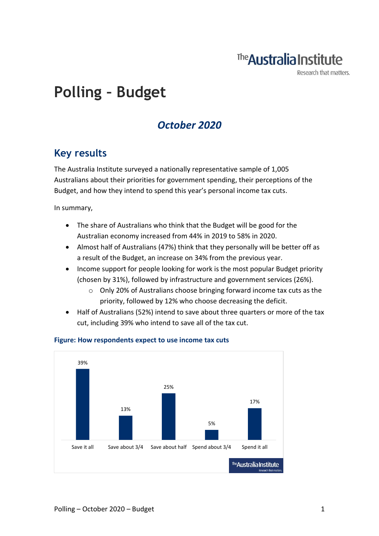## The **Australia Institute**

Research that matters.

# **Polling – Budget**

### *October 2020*

### **Key results**

The Australia Institute surveyed a nationally representative sample of 1,005 Australians about their priorities for government spending, their perceptions of the Budget, and how they intend to spend this year's personal income tax cuts.

In summary,

- The share of Australians who think that the Budget will be good for the Australian economy increased from 44% in 2019 to 58% in 2020.
- Almost half of Australians (47%) think that they personally will be better off as a result of the Budget, an increase on 34% from the previous year.
- Income support for people looking for work is the most popular Budget priority (chosen by 31%), followed by infrastructure and government services (26%).
	- $\circ$  Only 20% of Australians choose bringing forward income tax cuts as the priority, followed by 12% who choose decreasing the deficit.
- Half of Australians (52%) intend to save about three quarters or more of the tax cut, including 39% who intend to save all of the tax cut.



#### **Figure: How respondents expect to use income tax cuts**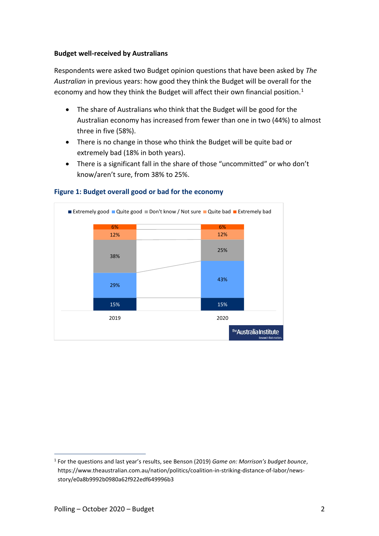#### **Budget well-received by Australians**

Respondents were asked two Budget opinion questions that have been asked by *The Australian* in previous years: how good they think the Budget will be overall for the economy and how they think the Budget will affect their own financial position.<sup>1</sup>

- The share of Australians who think that the Budget will be good for the Australian economy has increased from fewer than one in two (44%) to almost three in five (58%).
- There is no change in those who think the Budget will be quite bad or extremely bad (18% in both years).
- There is a significant fall in the share of those "uncommitted" or who don't know/aren't sure, from 38% to 25%.



#### **Figure 1: Budget overall good or bad for the economy**

<sup>1</sup> For the questions and last year's results, see Benson (2019) *Game on: Morrison's budget bounce*, https://www.theaustralian.com.au/nation/politics/coalition-in-striking-distance-of-labor/newsstory/e0a8b9992b0980a62f922edf649996b3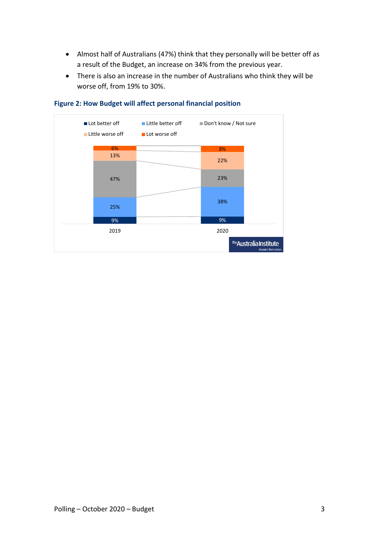- Almost half of Australians (47%) think that they personally will be better off as a result of the Budget, an increase on 34% from the previous year.
- There is also an increase in the number of Australians who think they will be worse off, from 19% to 30%.



#### **Figure 2: How Budget will affect personal financial position**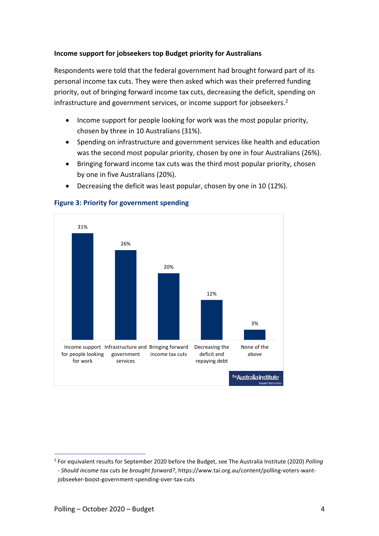#### **Income support for jobseekers top Budget priority for Australians**

Respondents were told that the federal government had brought forward part of its personal income tax cuts. They were then asked which was their preferred funding priority, out of bringing forward income tax cuts, decreasing the deficit, spending on infrastructure and government services, or income support for jobseekers.<sup>2</sup>

- Income support for people looking for work was the most popular priority, chosen by three in 10 Australians (31%).
- Spending on infrastructure and government services like health and education was the second most popular priority, chosen by one in four Australians (26%).
- Bringing forward income tax cuts was the third most popular priority, chosen by one in five Australians (20%).
- Decreasing the deficit was least popular, chosen by one in 10 (12%).



#### **Figure 3: Priority for government spending**

<sup>2</sup> For equivalent results for September 2020 before the Budget, see The Australia Institute (2020) *Polling - Should income tax cuts be brought forward?*, https://www.tai.org.au/content/polling-voters-wantjobseeker-boost-government-spending-over-tax-cuts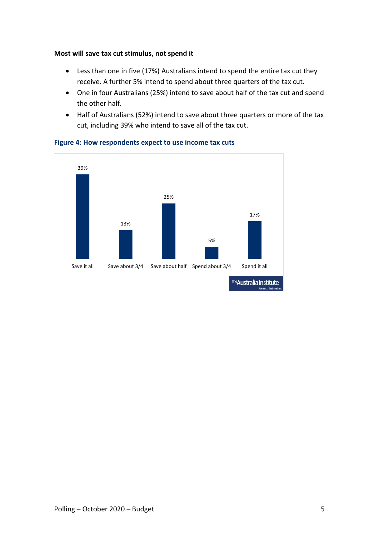#### **Most will save tax cut stimulus, not spend it**

- Less than one in five (17%) Australians intend to spend the entire tax cut they receive. A further 5% intend to spend about three quarters of the tax cut.
- One in four Australians (25%) intend to save about half of the tax cut and spend the other half.
- Half of Australians (52%) intend to save about three quarters or more of the tax cut, including 39% who intend to save all of the tax cut.



**Figure 4: How respondents expect to use income tax cuts**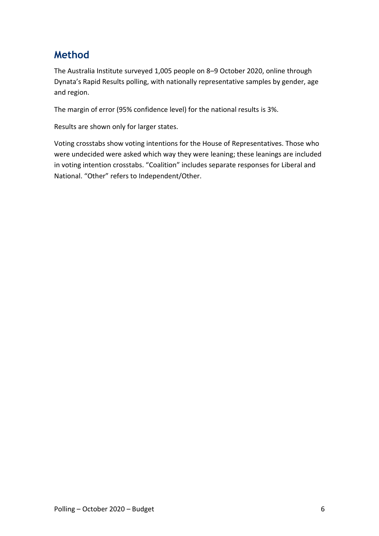### **Method**

The Australia Institute surveyed 1,005 people on 8–9 October 2020, online through Dynata's Rapid Results polling, with nationally representative samples by gender, age and region.

The margin of error (95% confidence level) for the national results is 3%.

Results are shown only for larger states.

Voting crosstabs show voting intentions for the House of Representatives. Those who were undecided were asked which way they were leaning; these leanings are included in voting intention crosstabs. "Coalition" includes separate responses for Liberal and National. "Other" refers to Independent/Other.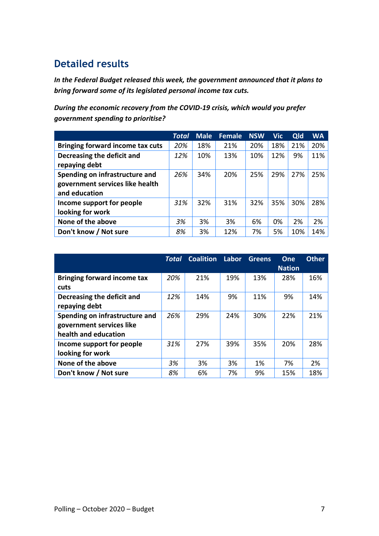### **Detailed results**

*In the Federal Budget released this week, the government announced that it plans to bring forward some of its legislated personal income tax cuts.*

*During the economic recovery from the COVID-19 crisis, which would you prefer government spending to prioritise?*

|                                                                                    | Total | <b>Male</b> | <b>Female</b> | <b>NSW</b> | <b>Vic</b> | Qld | <b>WA</b> |
|------------------------------------------------------------------------------------|-------|-------------|---------------|------------|------------|-----|-----------|
| <b>Bringing forward income tax cuts</b>                                            | 20%   | 18%         | 21%           | 20%        | 18%        | 21% | 20%       |
| Decreasing the deficit and<br>repaying debt                                        | 12%   | 10%         | 13%           | 10%        | 12%        | 9%  | 11%       |
| Spending on infrastructure and<br>government services like health<br>and education | 26%   | 34%         | 20%           | 25%        | 29%        | 27% | 25%       |
| Income support for people<br>looking for work                                      | 31%   | 32%         | 31%           | 32%        | 35%        | 30% | 28%       |
| None of the above                                                                  | 3%    | 3%          | 3%            | 6%         | 0%         | 2%  | 2%        |
| Don't know / Not sure                                                              | 8%    | 3%          | 12%           | 7%         | 5%         | 10% | 14%       |

|                                                                                    | Total | <b>Coalition</b> | Labor | <b>Greens</b> | One<br><b>Nation</b> | <b>Other</b> |
|------------------------------------------------------------------------------------|-------|------------------|-------|---------------|----------------------|--------------|
| <b>Bringing forward income tax</b><br>cuts                                         | 20%   | 21%              | 19%   | 13%           | 28%                  | 16%          |
| Decreasing the deficit and<br>repaying debt                                        | 12%   | 14%              | 9%    | 11%           | 9%                   | 14%          |
| Spending on infrastructure and<br>government services like<br>health and education | 26%   | 29%              | 24%   | 30%           | 22%                  | 21%          |
| Income support for people<br>looking for work                                      | 31%   | 27%              | 39%   | 35%           | 20%                  | 28%          |
| None of the above                                                                  | 3%    | 3%               | 3%    | 1%            | 7%                   | 2%           |
| Don't know / Not sure                                                              | 8%    | 6%               | 7%    | 9%            | 15%                  | 18%          |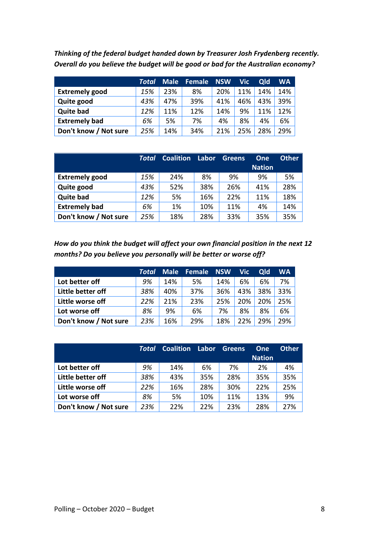*Thinking of the federal budget handed down by Treasurer Josh Frydenberg recently. Overall do you believe the budget will be good or bad for the Australian economy?*

|                       | Total | <b>Male</b> | <b>Female</b> | <b>NSW</b> | <b>Vic</b> | Qld | WA  |
|-----------------------|-------|-------------|---------------|------------|------------|-----|-----|
| <b>Extremely good</b> | 15%   | 23%         | 8%            | 20%        | 11%        | 14% | 14% |
| Quite good            | 43%   | 47%         | 39%           | 41%        | 46%        | 43% | 39% |
| <b>Quite bad</b>      | 12%   | 11%         | 12%           | 14%        | 9%         | 11% | 12% |
| <b>Extremely bad</b>  | 6%    | 5%          | 7%            | 4%         | 8%         | 4%  | 6%  |
| Don't know / Not sure | 25%   | 14%         | 34%           | 21%        | 25%        | 28% | 29% |

|                       | Total | <b>Coalition</b> | Labor | Greens | One           | <b>Other</b> |
|-----------------------|-------|------------------|-------|--------|---------------|--------------|
|                       |       |                  |       |        | <b>Nation</b> |              |
| <b>Extremely good</b> | 15%   | 24%              | 8%    | 9%     | 9%            | 5%           |
| Quite good            | 43%   | 52%              | 38%   | 26%    | 41%           | 28%          |
| <b>Quite bad</b>      | 12%   | 5%               | 16%   | 22%    | 11%           | 18%          |
| <b>Extremely bad</b>  | 6%    | 1%               | 10%   | 11%    | 4%            | 14%          |
| Don't know / Not sure | 25%   | 18%              | 28%   | 33%    | 35%           | 35%          |

*How do you think the budget will affect your own financial position in the next 12 months? Do you believe you personally will be better or worse off?*

|                       | Total | <b>Male</b> | Female | <b>NSW</b> | <b>Vic</b> | Qld | <b>WA</b> |
|-----------------------|-------|-------------|--------|------------|------------|-----|-----------|
| Lot better off        | 9%    | 14%         | 5%     | 14%        | 6%         | 6%  | 7%        |
| Little better off     | 38%   | 40%         | 37%    | 36%        | 43%        | 38% | 33%       |
| Little worse off      | 22%   | 21%         | 23%    | 25%        | 20%        | 20% | 25%       |
| Lot worse off         | 8%    | 9%          | 6%     | 7%         | 8%         | 8%  | 6%        |
| Don't know / Not sure | 23%   | 16%         | 29%    | 18%        | 22%        | 29% | 29%       |

|                       | <b>Total</b> | <b>Coalition</b> | Labor | <b>Greens</b> | One<br><b>Nation</b> | <b>Other</b> |
|-----------------------|--------------|------------------|-------|---------------|----------------------|--------------|
| Lot better off        | 9%           | 14%              | 6%    | 7%            | 2%                   | 4%           |
| Little better off     | 38%          | 43%              | 35%   | 28%           | 35%                  | 35%          |
| Little worse off      | 22%          | 16%              | 28%   | 30%           | 22%                  | 25%          |
| Lot worse off         | 8%           | 5%               | 10%   | 11%           | 13%                  | 9%           |
| Don't know / Not sure | 23%          | 22%              | 22%   | 23%           | 28%                  | 27%          |